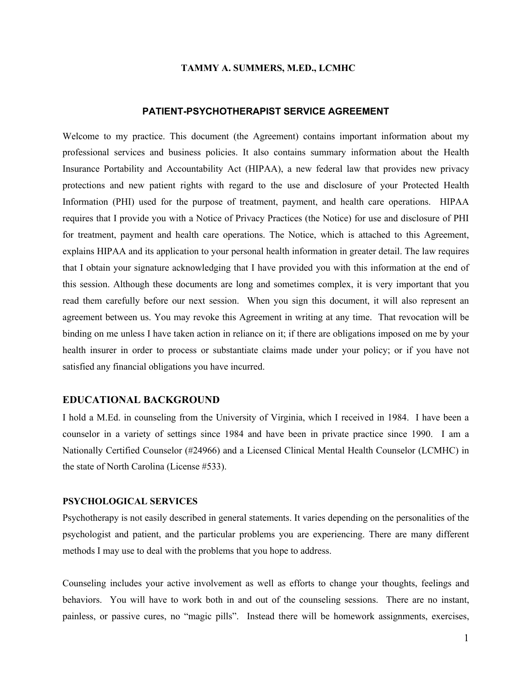### **TAMMY A. SUMMERS, M.ED., LCMHC**

# **PATIENT-PSYCHOTHERAPIST SERVICE AGREEMENT**

Welcome to my practice. This document (the Agreement) contains important information about my professional services and business policies. It also contains summary information about the Health Insurance Portability and Accountability Act (HIPAA), a new federal law that provides new privacy protections and new patient rights with regard to the use and disclosure of your Protected Health Information (PHI) used for the purpose of treatment, payment, and health care operations. HIPAA requires that I provide you with a Notice of Privacy Practices (the Notice) for use and disclosure of PHI for treatment, payment and health care operations. The Notice, which is attached to this Agreement, explains HIPAA and its application to your personal health information in greater detail. The law requires that I obtain your signature acknowledging that I have provided you with this information at the end of this session. Although these documents are long and sometimes complex, it is very important that you read them carefully before our next session. When you sign this document, it will also represent an agreement between us. You may revoke this Agreement in writing at any time. That revocation will be binding on me unless I have taken action in reliance on it; if there are obligations imposed on me by your health insurer in order to process or substantiate claims made under your policy; or if you have not satisfied any financial obligations you have incurred.

# **EDUCATIONAL BACKGROUND**

I hold a M.Ed. in counseling from the University of Virginia, which I received in 1984. I have been a counselor in a variety of settings since 1984 and have been in private practice since 1990. I am a Nationally Certified Counselor (#24966) and a Licensed Clinical Mental Health Counselor (LCMHC) in the state of North Carolina (License #533).

## **PSYCHOLOGICAL SERVICES**

Psychotherapy is not easily described in general statements. It varies depending on the personalities of the psychologist and patient, and the particular problems you are experiencing. There are many different methods I may use to deal with the problems that you hope to address.

Counseling includes your active involvement as well as efforts to change your thoughts, feelings and behaviors. You will have to work both in and out of the counseling sessions. There are no instant, painless, or passive cures, no "magic pills". Instead there will be homework assignments, exercises,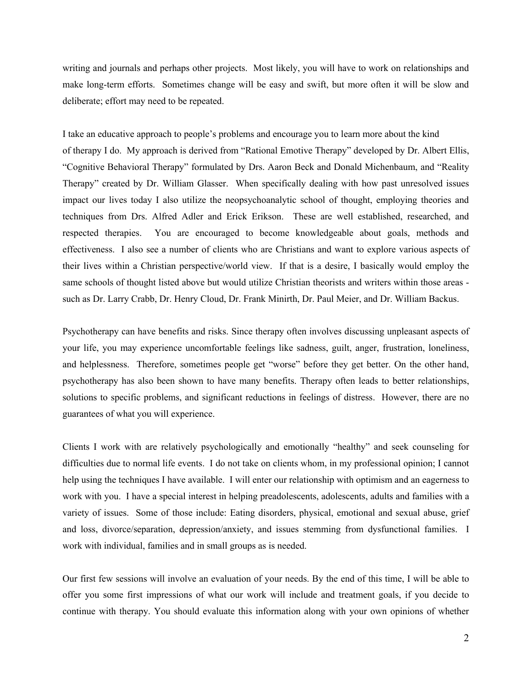writing and journals and perhaps other projects. Most likely, you will have to work on relationships and make long-term efforts. Sometimes change will be easy and swift, but more often it will be slow and deliberate; effort may need to be repeated.

I take an educative approach to people's problems and encourage you to learn more about the kind of therapy I do. My approach is derived from "Rational Emotive Therapy" developed by Dr. Albert Ellis, "Cognitive Behavioral Therapy" formulated by Drs. Aaron Beck and Donald Michenbaum, and "Reality Therapy" created by Dr. William Glasser. When specifically dealing with how past unresolved issues impact our lives today I also utilize the neopsychoanalytic school of thought, employing theories and techniques from Drs. Alfred Adler and Erick Erikson. These are well established, researched, and respected therapies. You are encouraged to become knowledgeable about goals, methods and effectiveness. I also see a number of clients who are Christians and want to explore various aspects of their lives within a Christian perspective/world view. If that is a desire, I basically would employ the same schools of thought listed above but would utilize Christian theorists and writers within those areas such as Dr. Larry Crabb, Dr. Henry Cloud, Dr. Frank Minirth, Dr. Paul Meier, and Dr. William Backus.

Psychotherapy can have benefits and risks. Since therapy often involves discussing unpleasant aspects of your life, you may experience uncomfortable feelings like sadness, guilt, anger, frustration, loneliness, and helplessness. Therefore, sometimes people get "worse" before they get better. On the other hand, psychotherapy has also been shown to have many benefits. Therapy often leads to better relationships, solutions to specific problems, and significant reductions in feelings of distress. However, there are no guarantees of what you will experience.

Clients I work with are relatively psychologically and emotionally "healthy" and seek counseling for difficulties due to normal life events. I do not take on clients whom, in my professional opinion; I cannot help using the techniques I have available. I will enter our relationship with optimism and an eagerness to work with you. I have a special interest in helping preadolescents, adolescents, adults and families with a variety of issues. Some of those include: Eating disorders, physical, emotional and sexual abuse, grief and loss, divorce/separation, depression/anxiety, and issues stemming from dysfunctional families. I work with individual, families and in small groups as is needed.

Our first few sessions will involve an evaluation of your needs. By the end of this time, I will be able to offer you some first impressions of what our work will include and treatment goals, if you decide to continue with therapy. You should evaluate this information along with your own opinions of whether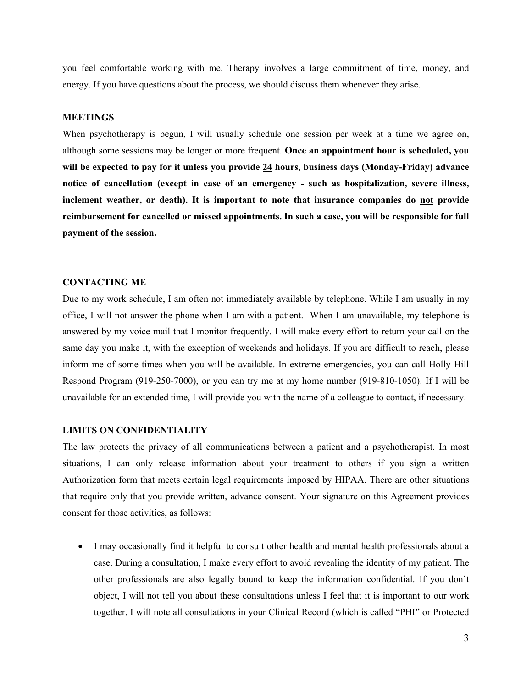you feel comfortable working with me. Therapy involves a large commitment of time, money, and energy. If you have questions about the process, we should discuss them whenever they arise.

### **MEETINGS**

When psychotherapy is begun, I will usually schedule one session per week at a time we agree on, although some sessions may be longer or more frequent. **Once an appointment hour is scheduled, you will be expected to pay for it unless you provide 24 hours, business days (Monday-Friday) advance notice of cancellation (except in case of an emergency - such as hospitalization, severe illness, inclement weather, or death). It is important to note that insurance companies do not provide reimbursement for cancelled or missed appointments. In such a case, you will be responsible for full payment of the session.**

# **CONTACTING ME**

Due to my work schedule, I am often not immediately available by telephone. While I am usually in my office, I will not answer the phone when I am with a patient. When I am unavailable, my telephone is answered by my voice mail that I monitor frequently. I will make every effort to return your call on the same day you make it, with the exception of weekends and holidays. If you are difficult to reach, please inform me of some times when you will be available. In extreme emergencies, you can call Holly Hill Respond Program (919-250-7000), or you can try me at my home number (919-810-1050). If I will be unavailable for an extended time, I will provide you with the name of a colleague to contact, if necessary.

# **LIMITS ON CONFIDENTIALITY**

The law protects the privacy of all communications between a patient and a psychotherapist. In most situations, I can only release information about your treatment to others if you sign a written Authorization form that meets certain legal requirements imposed by HIPAA. There are other situations that require only that you provide written, advance consent. Your signature on this Agreement provides consent for those activities, as follows:

• I may occasionally find it helpful to consult other health and mental health professionals about a case. During a consultation, I make every effort to avoid revealing the identity of my patient. The other professionals are also legally bound to keep the information confidential. If you don't object, I will not tell you about these consultations unless I feel that it is important to our work together. I will note all consultations in your Clinical Record (which is called "PHI" or Protected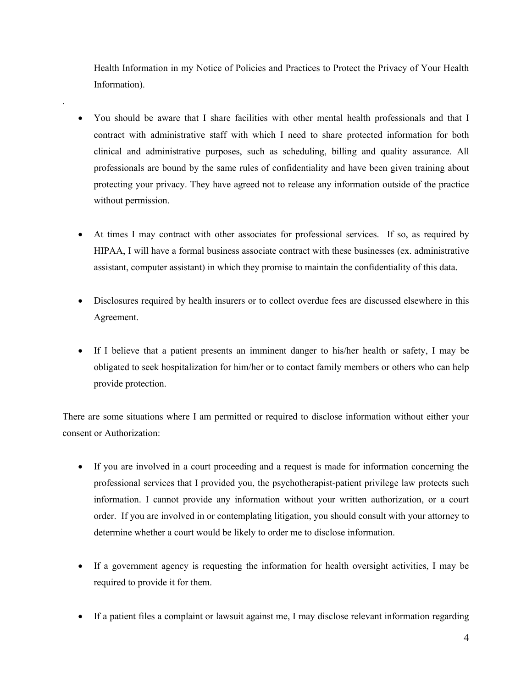Health Information in my Notice of Policies and Practices to Protect the Privacy of Your Health Information).

• You should be aware that I share facilities with other mental health professionals and that I contract with administrative staff with which I need to share protected information for both clinical and administrative purposes, such as scheduling, billing and quality assurance. All professionals are bound by the same rules of confidentiality and have been given training about protecting your privacy. They have agreed not to release any information outside of the practice without permission.

.

- At times I may contract with other associates for professional services. If so, as required by HIPAA, I will have a formal business associate contract with these businesses (ex. administrative assistant, computer assistant) in which they promise to maintain the confidentiality of this data.
- Disclosures required by health insurers or to collect overdue fees are discussed elsewhere in this Agreement.
- If I believe that a patient presents an imminent danger to his/her health or safety, I may be obligated to seek hospitalization for him/her or to contact family members or others who can help provide protection.

There are some situations where I am permitted or required to disclose information without either your consent or Authorization:

- If you are involved in a court proceeding and a request is made for information concerning the professional services that I provided you, the psychotherapist-patient privilege law protects such information. I cannot provide any information without your written authorization, or a court order. If you are involved in or contemplating litigation, you should consult with your attorney to determine whether a court would be likely to order me to disclose information.
- If a government agency is requesting the information for health oversight activities, I may be required to provide it for them.
- If a patient files a complaint or lawsuit against me, I may disclose relevant information regarding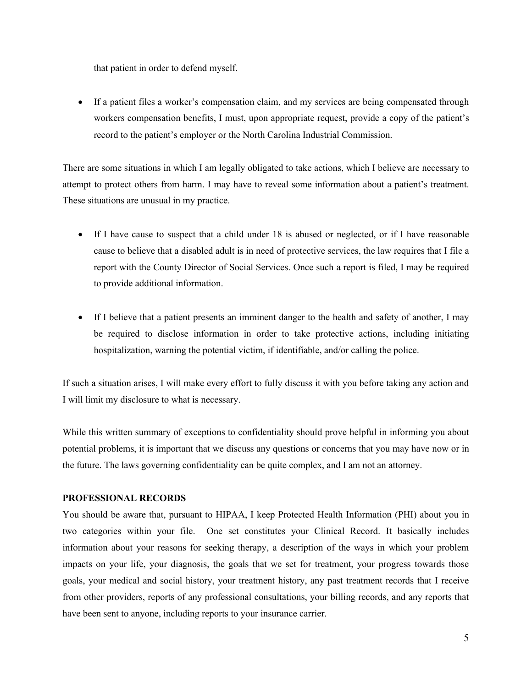that patient in order to defend myself.

• If a patient files a worker's compensation claim, and my services are being compensated through workers compensation benefits, I must, upon appropriate request, provide a copy of the patient's record to the patient's employer or the North Carolina Industrial Commission.

There are some situations in which I am legally obligated to take actions, which I believe are necessary to attempt to protect others from harm. I may have to reveal some information about a patient's treatment. These situations are unusual in my practice.

- If I have cause to suspect that a child under 18 is abused or neglected, or if I have reasonable cause to believe that a disabled adult is in need of protective services, the law requires that I file a report with the County Director of Social Services. Once such a report is filed, I may be required to provide additional information.
- If I believe that a patient presents an imminent danger to the health and safety of another, I may be required to disclose information in order to take protective actions, including initiating hospitalization, warning the potential victim, if identifiable, and/or calling the police.

If such a situation arises, I will make every effort to fully discuss it with you before taking any action and I will limit my disclosure to what is necessary.

While this written summary of exceptions to confidentiality should prove helpful in informing you about potential problems, it is important that we discuss any questions or concerns that you may have now or in the future. The laws governing confidentiality can be quite complex, and I am not an attorney.

# **PROFESSIONAL RECORDS**

You should be aware that, pursuant to HIPAA, I keep Protected Health Information (PHI) about you in two categories within your file. One set constitutes your Clinical Record. It basically includes information about your reasons for seeking therapy, a description of the ways in which your problem impacts on your life, your diagnosis, the goals that we set for treatment, your progress towards those goals, your medical and social history, your treatment history, any past treatment records that I receive from other providers, reports of any professional consultations, your billing records, and any reports that have been sent to anyone, including reports to your insurance carrier.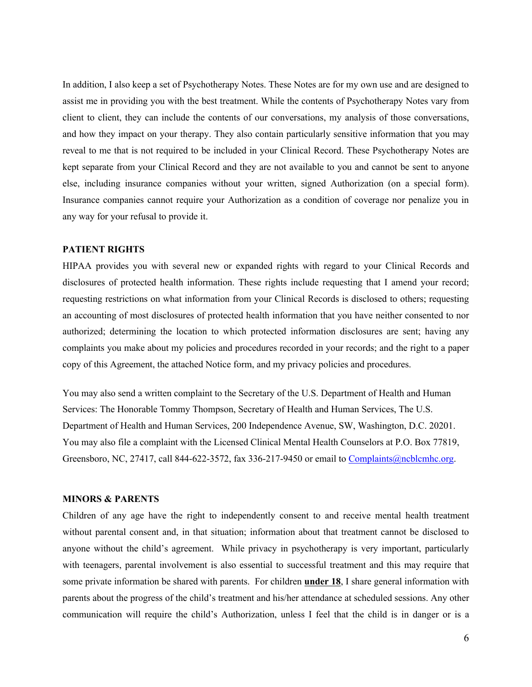In addition, I also keep a set of Psychotherapy Notes. These Notes are for my own use and are designed to assist me in providing you with the best treatment. While the contents of Psychotherapy Notes vary from client to client, they can include the contents of our conversations, my analysis of those conversations, and how they impact on your therapy. They also contain particularly sensitive information that you may reveal to me that is not required to be included in your Clinical Record. These Psychotherapy Notes are kept separate from your Clinical Record and they are not available to you and cannot be sent to anyone else, including insurance companies without your written, signed Authorization (on a special form). Insurance companies cannot require your Authorization as a condition of coverage nor penalize you in any way for your refusal to provide it.

# **PATIENT RIGHTS**

HIPAA provides you with several new or expanded rights with regard to your Clinical Records and disclosures of protected health information. These rights include requesting that I amend your record; requesting restrictions on what information from your Clinical Records is disclosed to others; requesting an accounting of most disclosures of protected health information that you have neither consented to nor authorized; determining the location to which protected information disclosures are sent; having any complaints you make about my policies and procedures recorded in your records; and the right to a paper copy of this Agreement, the attached Notice form, and my privacy policies and procedures.

You may also send a written complaint to the Secretary of the U.S. Department of Health and Human Services: The Honorable Tommy Thompson, Secretary of Health and Human Services, The U.S. Department of Health and Human Services, 200 Independence Avenue, SW, Washington, D.C. 20201. You may also file a complaint with the Licensed Clinical Mental Health Counselors at P.O. Box 77819, Greensboro, NC, 27417, call 844-622-3572, fax 336-217-9450 or email to Complaints@ncblcmhc.org.

## **MINORS & PARENTS**

Children of any age have the right to independently consent to and receive mental health treatment without parental consent and, in that situation; information about that treatment cannot be disclosed to anyone without the child's agreement. While privacy in psychotherapy is very important, particularly with teenagers, parental involvement is also essential to successful treatment and this may require that some private information be shared with parents. For children **under 18**, I share general information with parents about the progress of the child's treatment and his/her attendance at scheduled sessions. Any other communication will require the child's Authorization, unless I feel that the child is in danger or is a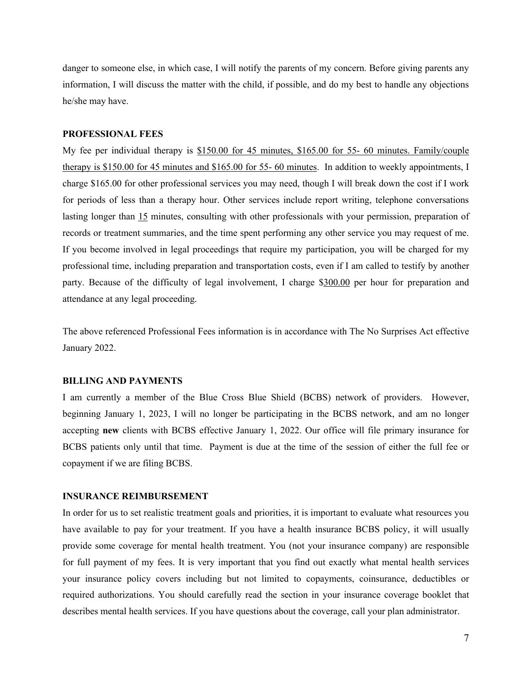danger to someone else, in which case, I will notify the parents of my concern. Before giving parents any information, I will discuss the matter with the child, if possible, and do my best to handle any objections he/she may have.

# **PROFESSIONAL FEES**

My fee per individual therapy is \$150.00 for 45 minutes, \$165.00 for 55- 60 minutes. Family/couple therapy is \$150.00 for 45 minutes and \$165.00 for 55- 60 minutes. In addition to weekly appointments, I charge \$165.00 for other professional services you may need, though I will break down the cost if I work for periods of less than a therapy hour. Other services include report writing, telephone conversations lasting longer than 15 minutes, consulting with other professionals with your permission, preparation of records or treatment summaries, and the time spent performing any other service you may request of me. If you become involved in legal proceedings that require my participation, you will be charged for my professional time, including preparation and transportation costs, even if I am called to testify by another party. Because of the difficulty of legal involvement, I charge \$300.00 per hour for preparation and attendance at any legal proceeding.

The above referenced Professional Fees information is in accordance with The No Surprises Act effective January 2022.

#### **BILLING AND PAYMENTS**

I am currently a member of the Blue Cross Blue Shield (BCBS) network of providers. However, beginning January 1, 2023, I will no longer be participating in the BCBS network, and am no longer accepting **new** clients with BCBS effective January 1, 2022. Our office will file primary insurance for BCBS patients only until that time. Payment is due at the time of the session of either the full fee or copayment if we are filing BCBS.

# **INSURANCE REIMBURSEMENT**

In order for us to set realistic treatment goals and priorities, it is important to evaluate what resources you have available to pay for your treatment. If you have a health insurance BCBS policy, it will usually provide some coverage for mental health treatment. You (not your insurance company) are responsible for full payment of my fees. It is very important that you find out exactly what mental health services your insurance policy covers including but not limited to copayments, coinsurance, deductibles or required authorizations. You should carefully read the section in your insurance coverage booklet that describes mental health services. If you have questions about the coverage, call your plan administrator.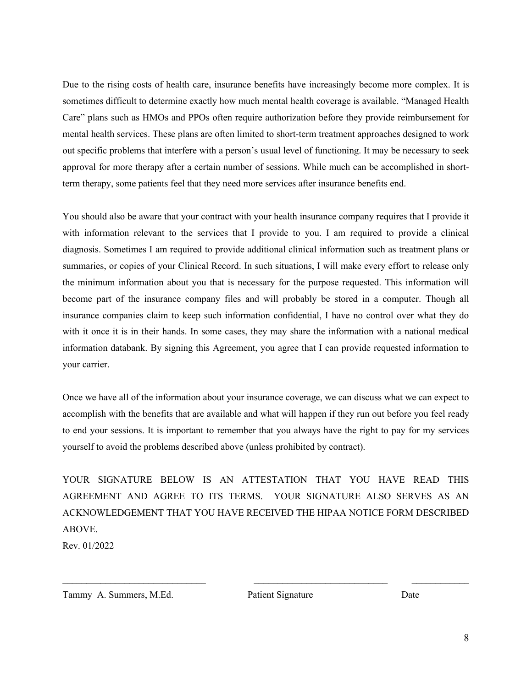Due to the rising costs of health care, insurance benefits have increasingly become more complex. It is sometimes difficult to determine exactly how much mental health coverage is available. "Managed Health Care" plans such as HMOs and PPOs often require authorization before they provide reimbursement for mental health services. These plans are often limited to short-term treatment approaches designed to work out specific problems that interfere with a person's usual level of functioning. It may be necessary to seek approval for more therapy after a certain number of sessions. While much can be accomplished in shortterm therapy, some patients feel that they need more services after insurance benefits end.

You should also be aware that your contract with your health insurance company requires that I provide it with information relevant to the services that I provide to you. I am required to provide a clinical diagnosis. Sometimes I am required to provide additional clinical information such as treatment plans or summaries, or copies of your Clinical Record. In such situations, I will make every effort to release only the minimum information about you that is necessary for the purpose requested. This information will become part of the insurance company files and will probably be stored in a computer. Though all insurance companies claim to keep such information confidential, I have no control over what they do with it once it is in their hands. In some cases, they may share the information with a national medical information databank. By signing this Agreement, you agree that I can provide requested information to your carrier.

Once we have all of the information about your insurance coverage, we can discuss what we can expect to accomplish with the benefits that are available and what will happen if they run out before you feel ready to end your sessions. It is important to remember that you always have the right to pay for my services yourself to avoid the problems described above (unless prohibited by contract).

YOUR SIGNATURE BELOW IS AN ATTESTATION THAT YOU HAVE READ THIS AGREEMENT AND AGREE TO ITS TERMS. YOUR SIGNATURE ALSO SERVES AS AN ACKNOWLEDGEMENT THAT YOU HAVE RECEIVED THE HIPAA NOTICE FORM DESCRIBED ABOVE.

 $\mathcal{L}_\text{max} = \frac{1}{2} \sum_{i=1}^n \mathcal{L}_\text{max}(\mathbf{x}_i - \mathbf{y}_i)$ 

Rev. 01/2022